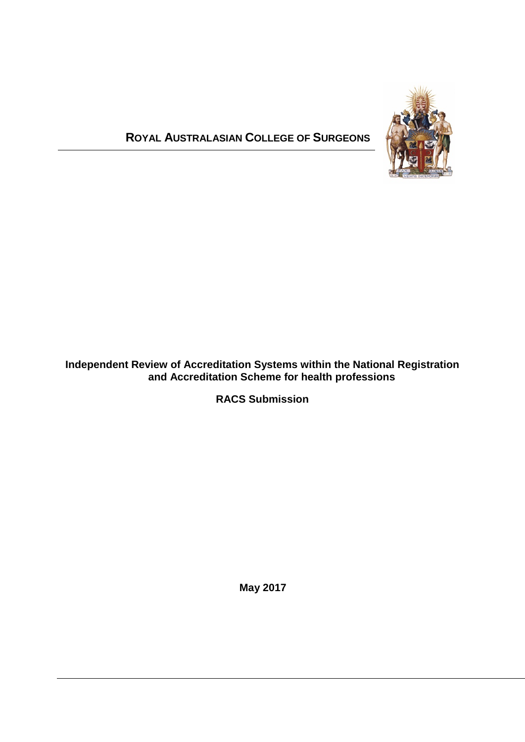# **ROYAL AUSTRALASIAN COLLEGE OF SURGEONS**



## **Independent Review of Accreditation Systems within the National Registration and Accreditation Scheme for health professions**

**RACS Submission**

**May 2017**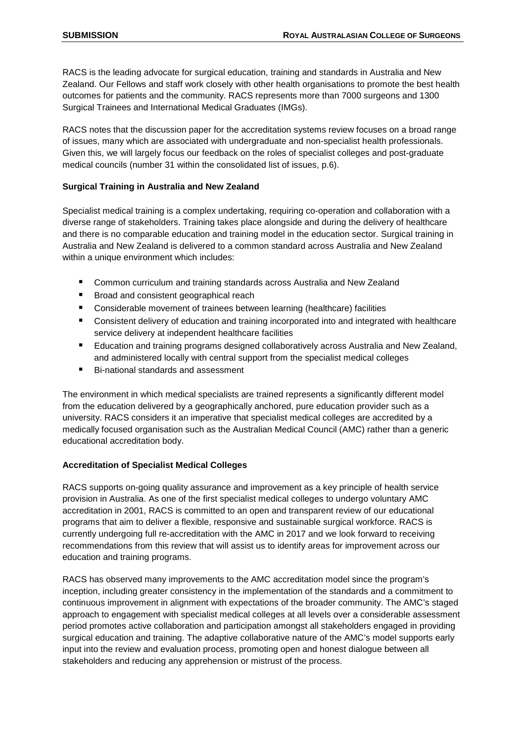RACS is the leading advocate for surgical education, training and standards in Australia and New Zealand. Our Fellows and staff work closely with other health organisations to promote the best health outcomes for patients and the community. RACS represents more than 7000 surgeons and 1300 Surgical Trainees and International Medical Graduates (IMGs).

RACS notes that the discussion paper for the accreditation systems review focuses on a broad range of issues, many which are associated with undergraduate and non-specialist health professionals. Given this, we will largely focus our feedback on the roles of specialist colleges and post-graduate medical councils (number 31 within the consolidated list of issues, p.6).

#### **Surgical Training in Australia and New Zealand**

Specialist medical training is a complex undertaking, requiring co-operation and collaboration with a diverse range of stakeholders. Training takes place alongside and during the delivery of healthcare and there is no comparable education and training model in the education sector. Surgical training in Australia and New Zealand is delivered to a common standard across Australia and New Zealand within a unique environment which includes:

- Common curriculum and training standards across Australia and New Zealand
- **Broad and consistent geographical reach**
- Considerable movement of trainees between learning (healthcare) facilities
- Consistent delivery of education and training incorporated into and integrated with healthcare service delivery at independent healthcare facilities
- Education and training programs designed collaboratively across Australia and New Zealand, and administered locally with central support from the specialist medical colleges
- Bi-national standards and assessment

The environment in which medical specialists are trained represents a significantly different model from the education delivered by a geographically anchored, pure education provider such as a university. RACS considers it an imperative that specialist medical colleges are accredited by a medically focused organisation such as the Australian Medical Council (AMC) rather than a generic educational accreditation body.

#### **Accreditation of Specialist Medical Colleges**

RACS supports on-going quality assurance and improvement as a key principle of health service provision in Australia. As one of the first specialist medical colleges to undergo voluntary AMC accreditation in 2001, RACS is committed to an open and transparent review of our educational programs that aim to deliver a flexible, responsive and sustainable surgical workforce. RACS is currently undergoing full re-accreditation with the AMC in 2017 and we look forward to receiving recommendations from this review that will assist us to identify areas for improvement across our education and training programs.

RACS has observed many improvements to the AMC accreditation model since the program's inception, including greater consistency in the implementation of the standards and a commitment to continuous improvement in alignment with expectations of the broader community. The AMC's staged approach to engagement with specialist medical colleges at all levels over a considerable assessment period promotes active collaboration and participation amongst all stakeholders engaged in providing surgical education and training. The adaptive collaborative nature of the AMC's model supports early input into the review and evaluation process, promoting open and honest dialogue between all stakeholders and reducing any apprehension or mistrust of the process.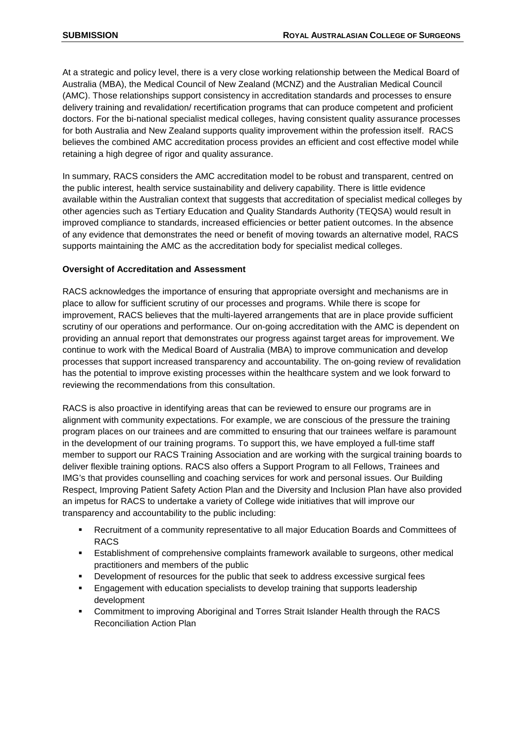At a strategic and policy level, there is a very close working relationship between the Medical Board of Australia (MBA), the Medical Council of New Zealand (MCNZ) and the Australian Medical Council (AMC). Those relationships support consistency in accreditation standards and processes to ensure delivery training and revalidation/ recertification programs that can produce competent and proficient doctors. For the bi-national specialist medical colleges, having consistent quality assurance processes for both Australia and New Zealand supports quality improvement within the profession itself. RACS believes the combined AMC accreditation process provides an efficient and cost effective model while retaining a high degree of rigor and quality assurance.

In summary, RACS considers the AMC accreditation model to be robust and transparent, centred on the public interest, health service sustainability and delivery capability. There is little evidence available within the Australian context that suggests that accreditation of specialist medical colleges by other agencies such as Tertiary Education and Quality Standards Authority (TEQSA) would result in improved compliance to standards, increased efficiencies or better patient outcomes. In the absence of any evidence that demonstrates the need or benefit of moving towards an alternative model, RACS supports maintaining the AMC as the accreditation body for specialist medical colleges.

#### **Oversight of Accreditation and Assessment**

RACS acknowledges the importance of ensuring that appropriate oversight and mechanisms are in place to allow for sufficient scrutiny of our processes and programs. While there is scope for improvement, RACS believes that the multi-layered arrangements that are in place provide sufficient scrutiny of our operations and performance. Our on-going accreditation with the AMC is dependent on providing an annual report that demonstrates our progress against target areas for improvement. We continue to work with the Medical Board of Australia (MBA) to improve communication and develop processes that support increased transparency and accountability. The on-going review of revalidation has the potential to improve existing processes within the healthcare system and we look forward to reviewing the recommendations from this consultation.

RACS is also proactive in identifying areas that can be reviewed to ensure our programs are in alignment with community expectations. For example, we are conscious of the pressure the training program places on our trainees and are committed to ensuring that our trainees welfare is paramount in the development of our training programs. To support this, we have employed a full-time staff member to support our RACS Training Association and are working with the surgical training boards to deliver flexible training options. RACS also offers a Support Program to all Fellows, Trainees and IMG's that provides counselling and coaching services for work and personal issues. Our Building Respect, Improving Patient Safety Action Plan and the Diversity and Inclusion Plan have also provided an impetus for RACS to undertake a variety of College wide initiatives that will improve our transparency and accountability to the public including:

- Recruitment of a community representative to all major Education Boards and Committees of RACS
- Establishment of comprehensive complaints framework available to surgeons, other medical practitioners and members of the public
- Development of resources for the public that seek to address excessive surgical fees
- **Engagement with education specialists to develop training that supports leadership** development
- Commitment to improving Aboriginal and Torres Strait Islander Health through the RACS Reconciliation Action Plan